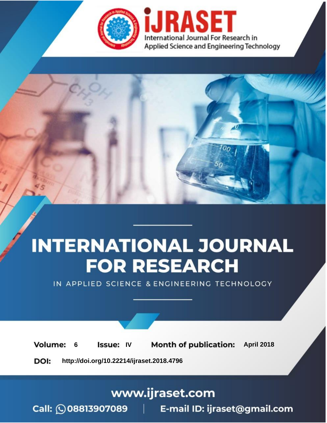

# **INTERNATIONAL JOURNAL FOR RESEARCH**

IN APPLIED SCIENCE & ENGINEERING TECHNOLOGY

**6 Issue: IV Month of publication:** April 2018 **Volume:** 

**http://doi.org/10.22214/ijraset.2018.4796**DOI:

### www.ijraset.com

Call: 008813907089 | E-mail ID: ijraset@gmail.com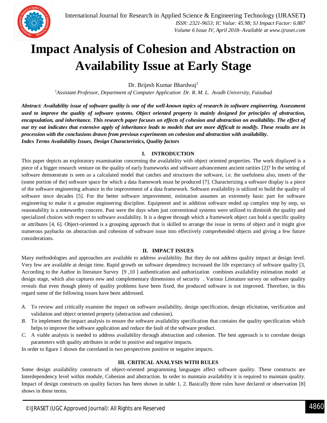

## **Impact Analysis of Cohesion and Abstraction on Availability Issue at Early Stage**

Dr. Brijesh Kumar Bhardwaj<sup>1</sup>

*<sup>1</sup>Assistant Professor, Department of Computer Application Dr. R. M. L. Avadh University, Faizabad*

*Abstract: Availability issue of software quality is one of the well-known topics of research in software engineering. Assessment used to improve the quality of software systems. Object oriented property is mainly designed for principles of abstraction, encapsulation, and inheritance. This research paper focuses on effects of cohesion and abstraction on availability. The effect of our try out indicates that extensive apply of inheritance leads to models that are more difficult to modify. These results are in procession with the conclusions drawn from previous experiments on cohesion and abstraction with availability. Index Terms Availability Issues, Design Characteristics, Quality factors*

#### **I. INTRODUCTION**

This paper depicts an exploratory examination concerning the availability with object oriented properties. The work displayed is a piece of a bigger research venture on the quality of early frameworks and software advancement ancient rarities [2]? In the setting of software demonstrate is seen as a calculated model that catches and structures the software, i.e. the usefulness also, tenets of the (some portion of the) software space for which a data framework must be produced [7]. Characterizing a software display is a piece of the software engineering advance in the improvement of a data framework. Software availability is utilized to build the quality of software since decades [5]. For the better software improvement, estimation assumes an extremely basic part for software engineering to make it a genuine engineering discipline. Equipment and in addition software ended up complex step by step, so reasonability is a noteworthy concern. Past were the days when just conventional systems were utilized to diminish the quality and specialized choices with respect to software availability. It is a degree through which a framework object can hold a specific quality or attributes [4, 6]. Object-oriented is a grouping approach that is skilled to arrange the issue in terms of object and it might give numerous paybacks on abstraction and cohesion of software issue into effectively comprehended objects and giving a few future considerations.

#### **II. IMPACT ISSUES**

Many methodologies and approaches are available to address availability. But they do not address quality impact at design level. Very few are available at design time. Rapid growth on software dependency increased the life expectancy of software quality [3, According to the Author in literature Survey [9 ,10 ] authentication and authorization combines availability estimation model at design stage, which also captures new and complementary dimensions of security . Various Literature survey on software quality reveals that even though plenty of quality problems have been fixed, the produced software is not improved. Therefore, in this regard some of the following issues have been addressed.

- *A.* To review and critically examine the impact on software availability, design specification, design elicitation, verification and validation and object oriented property (abstraction and cohesion).
- *B.* To implement the impact analysis to ensure the software availability specification that contains the quality specification which helps to improve the software application and reduce the fault of the software product.
- *C.* A viable analysis is needed to address availability through abstraction and cohesion. The best approach is to correlate design parameters with quality attributes in order to positive and negative impacts.

In order to figure 1 shown the correlated in two perspectives positive or negative impacts.

#### **III. CRITICAL ANALYSIS WITH RULES**

Some design availability constructs of object-oriented programming languages affect software quality. These constructs are Interdependency level within module, Cohesion and abstraction. In order to maintain availability it is required to maintain quality. Impact of design constructs on quality factors has been shown in table 1, 2. Basically three rules have declared or observation [8] shows in these terms.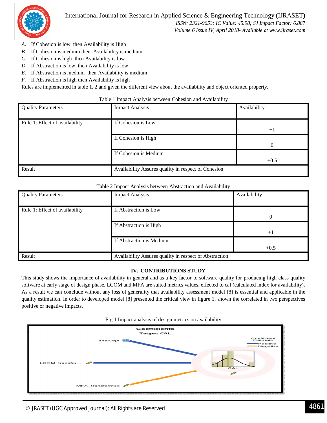

*Volume 6 Issue IV, April 2018- Available at www.ijraset.com*

- *A.* If Cohesion is low then Availability is High
- *B.* If Cohesion is medium then Availability is medium
- *C.* If Cohesion is high then Availability is low
- *D.* If Abstraction is low then Availability is low
- *E.* If Abstraction is medium then Availability is medium
- *F.* If Abstraction is high then Availability is high

Rules are implemented in table 1, 2 and given the different view about the availability and object oriented property.

#### Table 1 Impact Analysis between Cohesion and Availability

| <b>Quality Parameters</b>      | <b>Impact Analysis</b>                              | Availability |
|--------------------------------|-----------------------------------------------------|--------------|
| Rule 1: Effect of availability | If Cohesion is Low                                  | $+1$         |
|                                | If Cohesion is High                                 | $\Omega$     |
|                                | If Cohesion is Medium                               | $+0.5$       |
| Result                         | Availability Assures quality in respect of Cohesion |              |

#### Table 2 Impact Analysis between Abstraction and Availability

| <b>Quality Parameters</b>      | <b>Impact Analysis</b>                                 | Availability |
|--------------------------------|--------------------------------------------------------|--------------|
|                                |                                                        |              |
| Rule 1: Effect of availability | If Abstraction is Low                                  |              |
|                                |                                                        |              |
|                                | If Abstraction is High                                 |              |
|                                |                                                        | $+1$         |
|                                | If Abstraction is Medium                               |              |
|                                |                                                        | $+0.5$       |
| Result                         | Availability Assures quality in respect of Abstraction |              |

#### **IV. CONTRIBUTIONS STUDY**

This study shows the importance of availability in general and as a key factor to software quality for producing high class quality software at early stage of design phase. LCOM and MFA are suited metrics values, effected to cal (calculated index for availability). As a result we can conclude without any loss of generality that availability assessment model [8] is essential and applicable in the quality estimation. In order to developed model [8] presented the critical view in figure 1, shown the correlated in two perspectives positive or negative impacts.



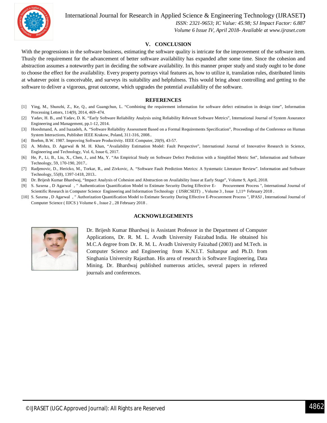

International Journal for Research in Applied Science & Engineering Technology (IJRASET**)**

 *ISSN: 2321-9653; IC Value: 45.98; SJ Impact Factor: 6.887 Volume 6 Issue IV, April 2018- Available at www.ijraset.com*

#### **V. CONCLUSION**

With the progressions in the software business, estimating the software quality is intricate for the improvement of the software item. Thusly the requirement for the advancement of better software availability has expanded after some time. Since the cohesion and abstraction assumes a noteworthy part in deciding the software availability. In this manner proper study and study ought to be done to choose the effect for the availability. Every property portrays vital features as, how to utilize it, translation rules, distributed limits at whatever point is conceivable, and surveys its suitability and helpfulness. This would bring about controlling and getting to the software to deliver a vigorous, great outcome, which upgrades the potential availability of the software.

#### **REFERENCES**

- [1] Ying, M., Shunzhi, Z., Ke, Q., and Guangchun, L. "Combining the requirement information for software defect estimation in design time", Information Processing Letters, 114(9), 2014, 469–474.
- [2] Yadav, H. B., and Yadav, D. K. "Early Software Reliability Analysis using Reliability Relevant Software Metrics", International Journal of System Assurance Engineering and Management, pp.1-12, 2014.
- [3] Hooshmand, A. and Isazadeh, A. "Software Reliability Assessment Based on a Formal Requirements Specification", Proceedings of the Conference on Human System Interactions, Publisher IEEE Krakow, Poland, 311-316, 2008..
- [4] Boehm, B.W. 1987. Improving Software Productivity. IEEE Computer, 20(9), 43-57.
- [5] A. Mishra, D. Agarwal & M. H. Khan, "Availability Estimation Model: Fault Perspective", International Journal of Innovative Research in Science, Engineering and Technology, Vol. 6, Issue 6, 2017.
- [6] He, P., Li, B., Liu, X., Chen, J., and Ma, Y. "An Empirical Study on Software Defect Prediction with a Simplified Metric Set", Information and Software Technology, 59, 170-190, 2017..
- [7] Radjenovic, D., Hericko, M., Torkar, R., and Zivkovic, A. "Software Fault Prediction Metrics: A Systematic Literature Review". Information and Software Technology, 55(8), 1397-1418, 2013..
- [8] Dr. Brijesh Kumar Bhardwaj, "Impact Analysis of Cohesion and Abstraction on Availability Issue at Early Stage", Volume 9, April, 2018.
- [9] S. Saxena , D Agarwal , " Authentication Quantification Model to Estimate Security During Effective E- Procurement Process ", International Journal of Scientific Research in Computer Science Engineering and Information Technology (IJSRCSEIT), Volume 3, Issue 1,11<sup>th</sup> February 2018.
- [10] S. Saxena , D Agarwal , " Authorization Quantification Model to Estimate Security During Effective E-Procurement Process ", IPASJ , International Journal of Computer Science ( IIJCS ) Volume 6 , Issue 2 , 28 February 2018 .

#### **ACKNOWLEGEMENTS**



Dr. Brijesh Kumar Bhardwaj is Assistant Professor in the Department of Computer Applications, Dr. R. M. L. Avadh University Faizabad India. He obtained his M.C.A degree from Dr. R. M. L. Avadh University Faizabad (2003) and M.Tech. in Computer Science and Engineering from K.N.I.T. Sultanpur and Ph.D. from Singhania University Rajasthan. His area of research is Software Engineering, Data Mining. Dr. Bhardwaj published numerous articles, several papers in refereed journals and conferences.